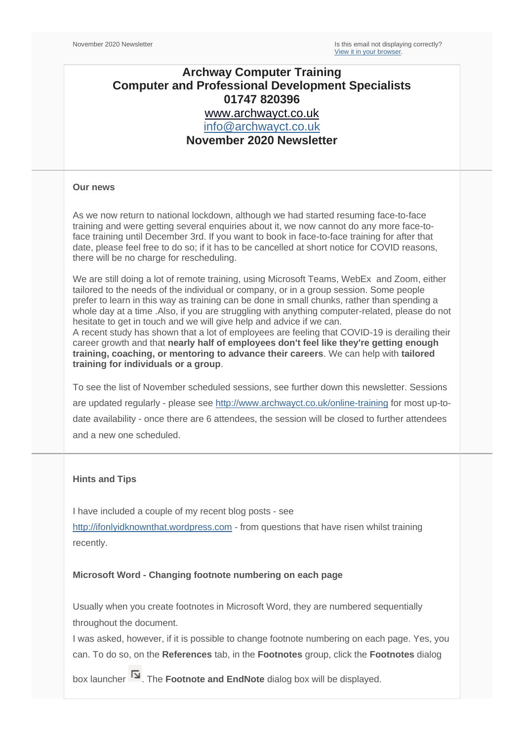# **Archway Computer Training Computer and Professional Development Specialists 01747 820396** [www.archwayct.co.uk](http://www.archwayct.co.uk/) [info@archwayct.co.uk](mailto:%20info@archwayct.co.uk) **November 2020 Newsletter**

# **Our news**

As we now return to national lockdown, although we had started resuming face-to-face training and were getting several enquiries about it, we now cannot do any more face-toface training until December 3rd. If you want to book in face-to-face training for after that date, please feel free to do so; if it has to be cancelled at short notice for COVID reasons, there will be no charge for rescheduling.

We are still doing a lot of remote training, using Microsoft Teams, WebEx and Zoom, either tailored to the needs of the individual or company, or in a group session. Some people prefer to learn in this way as training can be done in small chunks, rather than spending a whole day at a time .Also, if you are struggling with anything computer-related, please do not hesitate to get in touch and we will give help and advice if we can.

A recent study has shown that a lot of employees are feeling that COVID-19 is derailing their career growth and that **nearly half of employees don't feel like they're getting enough training, coaching, or mentoring to advance their careers**. We can help with **tailored training for individuals or a group**.

To see the list of November scheduled sessions, see further down this newsletter. Sessions are updated regularly - please see<http://www.archwayct.co.uk/online-training> for most up-todate availability - once there are 6 attendees, the session will be closed to further attendees and a new one scheduled.

### **Hints and Tips**

I have included a couple of my recent blog posts - see

[http://ifonlyidknownthat.wordpress.com](http://ifonlyidknownthat.wordpress.com/) - from questions that have risen whilst training recently.

### **Microsoft Word - Changing footnote numbering on each page**

Usually when you create footnotes in Microsoft Word, they are numbered sequentially throughout the document.

I was asked, however, if it is possible to change footnote numbering on each page. Yes, you can. To do so, on the **References** tab, in the **Footnotes** group, click the **Footnotes** dialog

box launcher . The **Footnote and EndNote** dialog box will be displayed.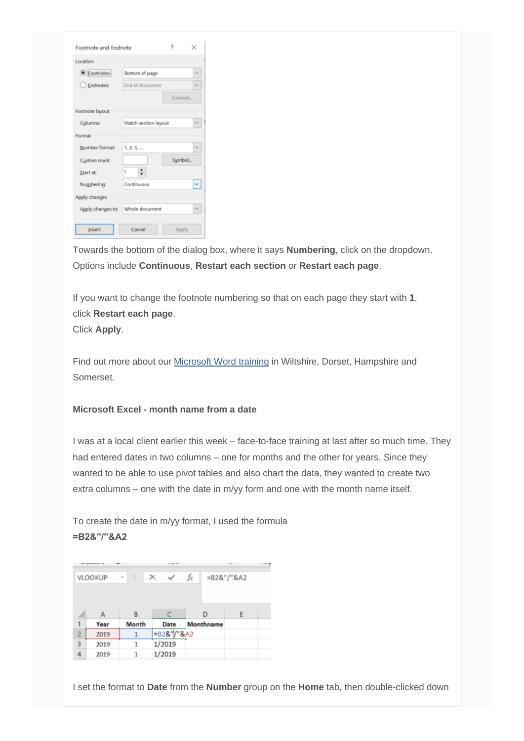| Footnote and Endnote |                      | 7       |    |
|----------------------|----------------------|---------|----|
| Location             |                      |         |    |
| C Footnotes:         | Bottom of page       |         | w  |
| ○ Endnotes:          | End of document      |         |    |
|                      |                      | Convert |    |
| Footnote layout      |                      |         |    |
| Columns:             | Match section layout |         |    |
| Format               |                      |         |    |
| Number format:       | 1, 2, 3,             |         |    |
| Custom mark:         |                      | Symbol  |    |
| Start at:            | 1                    |         |    |
| <b>Numbering:</b>    | Continuous           |         |    |
| Apply changes        |                      |         |    |
| Apply changes to:    | Whole document       |         | h) |
| Insert               | Cancel               | Apply   |    |

Towards the bottom of the dialog box, where it says **Numbering**, click on the dropdown. Options include **Continuous**, **Restart each section** or **Restart each page**.

If you want to change the footnote numbering so that on each page they start with **1**, click **Restart each page**. Click **Apply**.

Find out more about our [Microsoft Word training](http://www.archwayct.uk/microsoft-office-training/microsoft-word-training) in Wiltshire, Dorset, Hampshire and Somerset.

# **Microsoft Excel - month name from a date**

I was at a local client earlier this week – face-to-face training at last after so much time. They had entered dates in two columns – one for months and the other for years. Since they wanted to be able to use pivot tables and also chart the data, they wanted to create two extra columns – one with the date in m/yy form and one with the month name itself.

To create the date in m/yy format, I used the formula **=B2&"/"&A2**

|                |                |       | .           |                  |               | ---- |
|----------------|----------------|-------|-------------|------------------|---------------|------|
|                | <b>VLOOKUP</b> | ÷     |             | fx               | $= B28''/8A2$ |      |
|                |                |       |             |                  |               |      |
|                |                |       |             |                  |               |      |
|                | А              | B     |             |                  | F             |      |
|                | Year           | Month | <b>Date</b> | <b>Monthname</b> |               |      |
| $\overline{2}$ | 2019           |       | =B2&"/"&A2  |                  |               |      |
| 3              | 2019           |       | 1/2019      |                  |               |      |
| 4              | 2019           |       | 1/2019      |                  |               |      |
|                |                |       |             |                  |               |      |

I set the format to **Date** from the **Number** group on the **Home** tab, then double-clicked down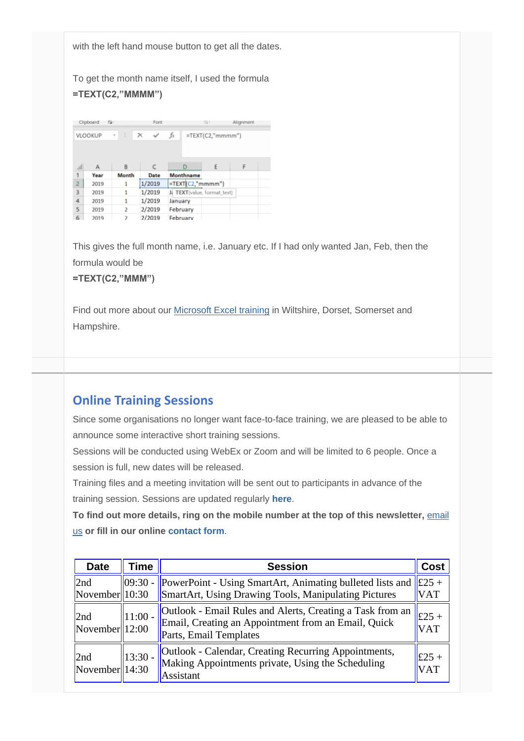with the left hand mouse button to get all the dates.

To get the month name itself, I used the formula **=TEXT(C2,"MMMM")**

|                | Clipboard      | 151 I                   | Font   |                             | 19 I             | Alignment |  |
|----------------|----------------|-------------------------|--------|-----------------------------|------------------|-----------|--|
|                | <b>VLOOKUP</b> | î<br>$\bar{\nu}$        | ×      | fx                          | $=TEXT(C2,"mmm"$ |           |  |
|                | А              | B                       |        |                             |                  | F         |  |
| 1              | Year           | Month                   | Date   | Monthname                   |                  |           |  |
| $\overline{2}$ | 2019           | 1                       | 1/2019 | =TEXT(C2,"mmmm")            |                  |           |  |
| 3              | 2019           |                         | 1/2019 | J. TEXT(value, format_text) |                  |           |  |
| 4              | 2019           | 1                       | 1/2019 | January                     |                  |           |  |
| 5              | 2019           | $\overline{\mathbf{z}}$ | 2/2019 | February                    |                  |           |  |
| 6              | 2019           | 9                       | 2/2019 | February                    |                  |           |  |

This gives the full month name, i.e. January etc. If I had only wanted Jan, Feb, then the formula would be

## **=TEXT(C2,"MMM")**

Find out more about our [Microsoft Excel training](http://www.archwayct.co.uk/microsoft-office-training/microsoft-excel-training) in Wiltshire, Dorset, Somerset and Hampshire.

# **Online Training Sessions**

Since some organisations no longer want face-to-face training, we are pleased to be able to announce some interactive short training sessions.

Sessions will be conducted using WebEx or Zoom and will be limited to 6 people. Once a session is full, new dates will be released.

Training files and a meeting invitation will be sent out to participants in advance of the training session. Sessions are updated regularly **[here](http://www.archwayct.co.uk/online-training)**.

To find out more details, ring on the mobile number at the top of this newsletter, **email** [us](mailto:janet@archwayct.co.uk?subject=Online%20training) **or fill in our online [contact form](http://www.archwayct.co.uk/contact)**.

| <b>Date</b>                              | <b>Time</b> | <b>Session</b>                                                                                                                             | Cost                         |
|------------------------------------------|-------------|--------------------------------------------------------------------------------------------------------------------------------------------|------------------------------|
| 2nd<br>November $ 10:30$                 | $ 09:30 -$  | PowerPoint - Using SmartArt, Animating bulleted lists and $ £25 +$<br>SmartArt, Using Drawing Tools, Manipulating Pictures                 | <b>VAT</b>                   |
| 2nd<br>$\text{November} \parallel 12:00$ | $11:00 -$   | Outlook - Email Rules and Alerts, Creating a Task from an<br>Email, Creating an Appointment from an Email, Quick<br>Parts, Email Templates | $\pounds 25 +$<br><b>VAT</b> |
| 2nd<br>November $  14:30$                | $13:30 -$   | Outlook - Calendar, Creating Recurring Appointments,<br>Making Appointments private, Using the Scheduling<br>Assistant                     | $\pounds25+$<br><b>VAT</b>   |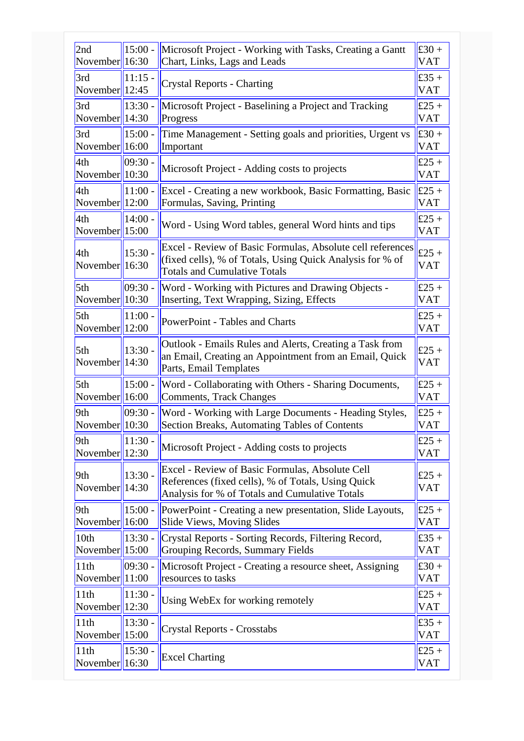| 2nd                      | $15:00 -$          |                                                                                                        | $£30+$               |
|--------------------------|--------------------|--------------------------------------------------------------------------------------------------------|----------------------|
| November $16:30$         |                    | Microsoft Project - Working with Tasks, Creating a Gantt<br>Chart, Links, Lags and Leads               | <b>VAT</b>           |
| 3rd<br>November $12:45$  | $11:15 -$          | <b>Crystal Reports - Charting</b>                                                                      | £35 +<br><b>VAT</b>  |
| 3rd                      | $13:30 -$          | Microsoft Project - Baselining a Project and Tracking                                                  | £25 +                |
| November $14:30$         |                    | Progress                                                                                               | <b>VAT</b>           |
| 3rd                      | $15:00 -$          | Time Management - Setting goals and priorities, Urgent vs                                              | $£30+$               |
| November $16:00$         |                    | Important                                                                                              | <b>VAT</b>           |
| 4th<br>November $ 10:30$ | $09:30 -$          | Microsoft Project - Adding costs to projects                                                           | £25 +<br><b>VAT</b>  |
| 4th                      | $11:00 -$          | Excel - Creating a new workbook, Basic Formatting, Basic                                               | £25 +                |
| November $12:00$         |                    | Formulas, Saving, Printing                                                                             | <b>VAT</b>           |
| 4th<br>November $15:00$  | $14:00 -$          | Word - Using Word tables, general Word hints and tips                                                  | £25 +<br><b>VAT</b>  |
| 4th                      | $15:30 -$          | Excel - Review of Basic Formulas, Absolute cell references                                             | £25 +                |
| November $16:30$         |                    | (fixed cells), % of Totals, Using Quick Analysis for % of<br><b>Totals and Cumulative Totals</b>       | VAT                  |
| 5 <sup>th</sup>          | $09:30 -$          | Word - Working with Pictures and Drawing Objects -                                                     | £25 +                |
| November $ 10:30$        |                    | Inserting, Text Wrapping, Sizing, Effects                                                              | <b>VAT</b>           |
| 5th<br>November $12:00$  | $11:00 -$          | PowerPoint - Tables and Charts                                                                         | £25 +<br><b>VAT</b>  |
| 5 <sup>th</sup>          | $13:30 -$          | Outlook - Emails Rules and Alerts, Creating a Task from                                                | £25 +                |
| November                 | 14:30              | an Email, Creating an Appointment from an Email, Quick<br>Parts, Email Templates                       | <b>VAT</b>           |
| 5 <sup>th</sup>          | $15:00 -$          | Word - Collaborating with Others - Sharing Documents,                                                  | £25 +                |
| November $16:00$         |                    | Comments, Track Changes                                                                                | <b>VAT</b>           |
| 9th<br>November $10:30$  | $ 09:30 -$         | Word - Working with Large Documents - Heading Styles,<br>Section Breaks, Automating Tables of Contents | £25 +<br><b>VAT</b>  |
| 9th<br>November          | $11:30 -$<br>12:30 | Microsoft Project - Adding costs to projects                                                           | £25 +<br><b>VAT</b>  |
|                          |                    | Excel - Review of Basic Formulas, Absolute Cell                                                        |                      |
| 9th<br>November          | $13:30 -$<br>14:30 | References (fixed cells), % of Totals, Using Quick                                                     | £25 +<br><b>VAT</b>  |
|                          |                    | Analysis for % of Totals and Cumulative Totals                                                         |                      |
| 9th<br>November          | $15:00 -$<br>16:00 | PowerPoint - Creating a new presentation, Slide Layouts,<br>Slide Views, Moving Slides                 | £25 +<br><b>VAT</b>  |
| 10th                     | $13:30 -$          | Crystal Reports - Sorting Records, Filtering Record,                                                   | £35 +                |
| November $15:00$         |                    | Grouping Records, Summary Fields                                                                       | <b>VAT</b>           |
| 11th<br>November $11:00$ | $09:30 -$          | Microsoft Project - Creating a resource sheet, Assigning<br>resources to tasks                         | $£30+$<br><b>VAT</b> |
| 11th                     | $11:30 -$          |                                                                                                        | £25 +                |
| November                 | 12:30              | Using WebEx for working remotely                                                                       | <b>VAT</b>           |
| 11th                     | $13:30 -$          | <b>Crystal Reports - Crosstabs</b>                                                                     | £35 +                |
| November $15:00$         |                    |                                                                                                        | <b>VAT</b>           |
| 11th<br>November         | $15:30 -$<br>16:30 | <b>Excel Charting</b>                                                                                  | £25 +<br><b>VAT</b>  |
|                          |                    |                                                                                                        |                      |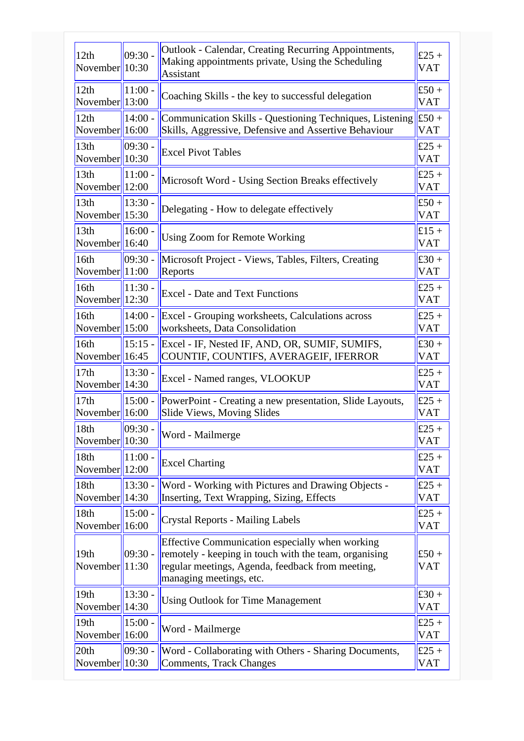| 12th                       | $09:30 -$ | Outlook - Calendar, Creating Recurring Appointments,                                                                                                                                    | £25 +                          |
|----------------------------|-----------|-----------------------------------------------------------------------------------------------------------------------------------------------------------------------------------------|--------------------------------|
| November $10:30$           |           | Making appointments private, Using the Scheduling<br>Assistant                                                                                                                          | <b>VAT</b>                     |
| 12th<br>November $13:00$   | $11:00 -$ | Coaching Skills - the key to successful delegation                                                                                                                                      | £50 +<br><b>VAT</b>            |
| 12th<br>November $ 16:00$  | $14:00 -$ | Communication Skills - Questioning Techniques, Listening<br>Skills, Aggressive, Defensive and Assertive Behaviour                                                                       | $\mathbf{E}50 +$<br><b>VAT</b> |
| 13th<br>November $10:30$   | $09:30 -$ | <b>Excel Pivot Tables</b>                                                                                                                                                               | £25 +<br><b>VAT</b>            |
| 13th<br>November $12:00$   | $11:00 -$ | Microsoft Word - Using Section Breaks effectively                                                                                                                                       | £25 +<br><b>VAT</b>            |
| 13th<br>November $15:30$   | $13:30 -$ | Delegating - How to delegate effectively                                                                                                                                                | £50 +<br><b>VAT</b>            |
| 13th<br>November $16:40$   | $16:00 -$ | <b>Using Zoom for Remote Working</b>                                                                                                                                                    | £15 +<br><b>VAT</b>            |
| 16th<br>November $11:00$   | 09:30 -   | Microsoft Project - Views, Tables, Filters, Creating<br>Reports                                                                                                                         | £30 +<br>VAT                   |
| 16th<br>November $  12:30$ | $11:30 -$ | <b>Excel - Date and Text Functions</b>                                                                                                                                                  | £25 +<br><b>VAT</b>            |
| 16th<br>November $15:00$   | $14:00 -$ | Excel - Grouping worksheets, Calculations across<br>worksheets, Data Consolidation                                                                                                      | £25 +<br><b>VAT</b>            |
| 16th<br>November $16:45$   | $15:15 -$ | Excel - IF, Nested IF, AND, OR, SUMIF, SUMIFS,<br>COUNTIF, COUNTIFS, AVERAGEIF, IFERROR                                                                                                 | £30 +<br><b>VAT</b>            |
| 17th<br>November $  14:30$ | $13:30 -$ | Excel - Named ranges, VLOOKUP                                                                                                                                                           | £25 +<br><b>VAT</b>            |
| 17th<br>November $16:00$   | $15:00 -$ | PowerPoint - Creating a new presentation, Slide Layouts,<br>Slide Views, Moving Slides                                                                                                  | £25 +<br><b>VAT</b>            |
| 18th<br>November $10:30$   | $09:30 -$ | Word - Mailmerge                                                                                                                                                                        | £25 +<br><b>VAT</b>            |
| 18th<br>November $12:00$   | $11:00 -$ | <b>Excel Charting</b>                                                                                                                                                                   | £25 +<br><b>VAT</b>            |
| 18th<br>November $14:30$   | $13:30 -$ | Word - Working with Pictures and Drawing Objects -<br>Inserting, Text Wrapping, Sizing, Effects                                                                                         | £25 +<br><b>VAT</b>            |
| 18th<br>November $16:00$   | $15:00 -$ | <b>Crystal Reports - Mailing Labels</b>                                                                                                                                                 | £25 +<br><b>VAT</b>            |
| 19th<br>November $11:30$   | $09:30 -$ | Effective Communication especially when working<br>remotely - keeping in touch with the team, organising<br>regular meetings, Agenda, feedback from meeting,<br>managing meetings, etc. | £50 +<br><b>VAT</b>            |
| 19th<br>November $14:30$   | $13:30 -$ | <b>Using Outlook for Time Management</b>                                                                                                                                                | £30 +<br><b>VAT</b>            |
| 19th<br>November $16:00$   | $15:00 -$ | Word - Mailmerge                                                                                                                                                                        | £25 +<br><b>VAT</b>            |
| 20th<br>November $10:30$   | $09:30 -$ | Word - Collaborating with Others - Sharing Documents,<br><b>Comments, Track Changes</b>                                                                                                 | £25 +<br><b>VAT</b>            |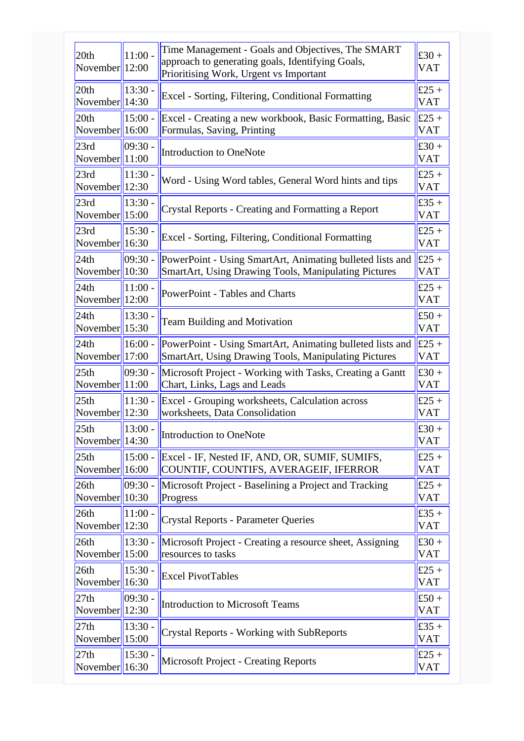| 20th                       | $11:00 -$ | Time Management - Goals and Objectives, The SMART           | $\pounds 30 +$      |
|----------------------------|-----------|-------------------------------------------------------------|---------------------|
| November $12:00$           |           | approach to generating goals, Identifying Goals,            | <b>VAT</b>          |
| 20th                       | $13:30 -$ | Prioritising Work, Urgent vs Important                      | £25 +               |
| November $14:30$           |           | Excel - Sorting, Filtering, Conditional Formatting          | <b>VAT</b>          |
| 20th                       | $15:00 -$ | Excel - Creating a new workbook, Basic Formatting, Basic    | £25 +               |
| November $16:00$           |           | Formulas, Saving, Printing                                  | VAT                 |
| 23rd<br>November $11:00$   | $09:30 -$ | Introduction to OneNote                                     | £30 +<br><b>VAT</b> |
| 23rd<br>November $12:30$   | $11:30 -$ | Word - Using Word tables, General Word hints and tips       | £25 +<br><b>VAT</b> |
| 23rd<br>November $15:00$   | $13:30 -$ | Crystal Reports - Creating and Formatting a Report          | £35 +<br>VAT        |
| 23rd<br>November $16:30$   | $15:30 -$ | Excel - Sorting, Filtering, Conditional Formatting          | £25 +<br><b>VAT</b> |
| 24th                       | 09:30 -   | PowerPoint - Using SmartArt, Animating bulleted lists and   | £25 +               |
| November $10:30$           |           | <b>SmartArt, Using Drawing Tools, Manipulating Pictures</b> | VAT                 |
| 24th<br>November $  12:00$ | $11:00$ - | PowerPoint - Tables and Charts                              | £25 +<br><b>VAT</b> |
| 24th<br>November $15:30$   | $13:30 -$ | <b>Team Building and Motivation</b>                         | £50 +<br><b>VAT</b> |
| 24th                       | $16:00 -$ | PowerPoint - Using SmartArt, Animating bulleted lists and   | £25 +               |
| November $17:00$           |           | <b>SmartArt, Using Drawing Tools, Manipulating Pictures</b> | VAT                 |
| 25th                       | $09:30 -$ | Microsoft Project - Working with Tasks, Creating a Gantt    | £30 +               |
| November $11:00$           |           | Chart, Links, Lags and Leads                                | <b>VAT</b>          |
| 25 <sub>th</sub>           | $11:30 -$ | Excel - Grouping worksheets, Calculation across             | £25 +               |
| November $12:30$           |           | worksheets, Data Consolidation                              | <b>VAT</b>          |
| 25th<br>November $14:30$   | $13:00 -$ | Introduction to OneNote                                     | £30 +<br><b>VAT</b> |
| 25 <sub>th</sub>           | $15:00 -$ | Excel - IF, Nested IF, AND, OR, SUMIF, SUMIFS,              | £25 +               |
| November $16:00$           |           | COUNTIF, COUNTIFS, AVERAGEIF, IFERROR                       | <b>VAT</b>          |
| 26th                       | $09:30 -$ | Microsoft Project - Baselining a Project and Tracking       | £25 +               |
| November $10:30$           |           | Progress                                                    | <b>VAT</b>          |
| 26th<br>November $12:30$   | $11:00 -$ | <b>Crystal Reports - Parameter Queries</b>                  | £35 +<br><b>VAT</b> |
| 26th                       | $13:30 -$ | Microsoft Project - Creating a resource sheet, Assigning    | £30 +               |
| November $  15:00$         |           | resources to tasks                                          | <b>VAT</b>          |
| 26th<br>November $16:30$   | $15:30 -$ | <b>Excel PivotTables</b>                                    | £25 +<br>VAT        |
| 27th<br>November $12:30$   | $09:30 -$ | Introduction to Microsoft Teams                             | £50 +<br><b>VAT</b> |
| 27th<br>November $15:00$   | $13:30 -$ | <b>Crystal Reports - Working with SubReports</b>            | £35 +<br><b>VAT</b> |
| 27th                       | $15:30 -$ | Microsoft Project - Creating Reports                        | £25 +               |
| November                   | 16:30     |                                                             | VAT                 |